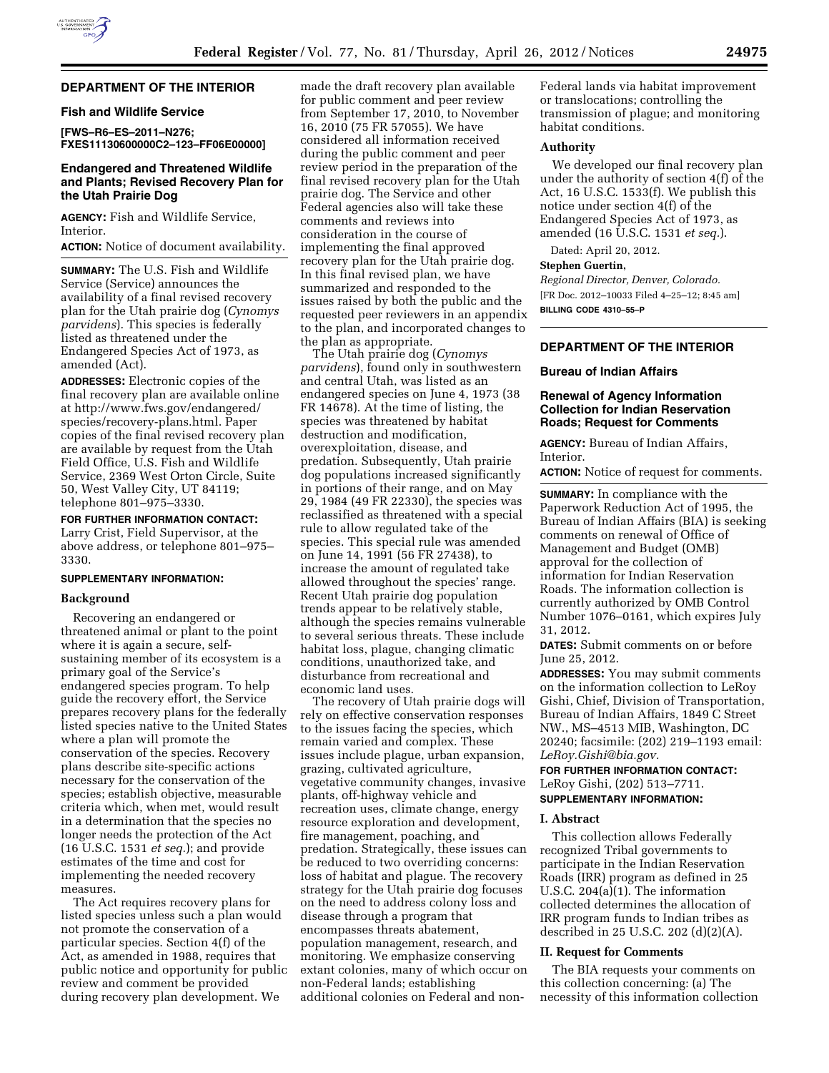### **DEPARTMENT OF THE INTERIOR**

### **Fish and Wildlife Service**

**[FWS–R6–ES–2011–N276; FXES11130600000C2–123–FF06E00000]** 

### **Endangered and Threatened Wildlife and Plants; Revised Recovery Plan for the Utah Prairie Dog**

**AGENCY:** Fish and Wildlife Service, Interior.

**ACTION:** Notice of document availability.

**SUMMARY:** The U.S. Fish and Wildlife Service (Service) announces the availability of a final revised recovery plan for the Utah prairie dog (*Cynomys parvidens*). This species is federally listed as threatened under the Endangered Species Act of 1973, as amended (Act).

**ADDRESSES:** Electronic copies of the final recovery plan are available online at [http://www.fws.gov/endangered/](http://www.fws.gov/endangered/species/recovery-plans.html)  [species/recovery-plans.html. P](http://www.fws.gov/endangered/species/recovery-plans.html)aper copies of the final revised recovery plan are available by request from the Utah Field Office, U.S. Fish and Wildlife Service, 2369 West Orton Circle, Suite 50, West Valley City, UT 84119; telephone 801–975–3330.

**FOR FURTHER INFORMATION CONTACT:**  Larry Crist, Field Supervisor, at the above address, or telephone 801–975– 3330.

### **SUPPLEMENTARY INFORMATION:**

#### **Background**

Recovering an endangered or threatened animal or plant to the point where it is again a secure, selfsustaining member of its ecosystem is a primary goal of the Service's endangered species program. To help guide the recovery effort, the Service prepares recovery plans for the federally listed species native to the United States where a plan will promote the conservation of the species. Recovery plans describe site-specific actions necessary for the conservation of the species; establish objective, measurable criteria which, when met, would result in a determination that the species no longer needs the protection of the Act (16 U.S.C. 1531 *et seq.*); and provide estimates of the time and cost for implementing the needed recovery measures.

The Act requires recovery plans for listed species unless such a plan would not promote the conservation of a particular species. Section 4(f) of the Act, as amended in 1988, requires that public notice and opportunity for public review and comment be provided during recovery plan development. We

made the draft recovery plan available for public comment and peer review from September 17, 2010, to November 16, 2010 (75 FR 57055). We have considered all information received during the public comment and peer review period in the preparation of the final revised recovery plan for the Utah prairie dog. The Service and other Federal agencies also will take these comments and reviews into consideration in the course of implementing the final approved recovery plan for the Utah prairie dog. In this final revised plan, we have summarized and responded to the issues raised by both the public and the requested peer reviewers in an appendix to the plan, and incorporated changes to the plan as appropriate.

The Utah prairie dog (*Cynomys parvidens*), found only in southwestern and central Utah, was listed as an endangered species on June 4, 1973 (38 FR 14678). At the time of listing, the species was threatened by habitat destruction and modification, overexploitation, disease, and predation. Subsequently, Utah prairie dog populations increased significantly in portions of their range, and on May 29, 1984 (49 FR 22330), the species was reclassified as threatened with a special rule to allow regulated take of the species. This special rule was amended on June 14, 1991 (56 FR 27438), to increase the amount of regulated take allowed throughout the species' range. Recent Utah prairie dog population trends appear to be relatively stable, although the species remains vulnerable to several serious threats. These include habitat loss, plague, changing climatic conditions, unauthorized take, and disturbance from recreational and economic land uses.

The recovery of Utah prairie dogs will rely on effective conservation responses to the issues facing the species, which remain varied and complex. These issues include plague, urban expansion, grazing, cultivated agriculture, vegetative community changes, invasive plants, off-highway vehicle and recreation uses, climate change, energy resource exploration and development, fire management, poaching, and predation. Strategically, these issues can be reduced to two overriding concerns: loss of habitat and plague. The recovery strategy for the Utah prairie dog focuses on the need to address colony loss and disease through a program that encompasses threats abatement, population management, research, and monitoring. We emphasize conserving extant colonies, many of which occur on non-Federal lands; establishing additional colonies on Federal and nonFederal lands via habitat improvement or translocations; controlling the transmission of plague; and monitoring habitat conditions.

#### **Authority**

We developed our final recovery plan under the authority of section 4(f) of the Act, 16 U.S.C. 1533(f). We publish this notice under section 4(f) of the Endangered Species Act of 1973, as amended (16 U.S.C. 1531 *et seq.*).

Dated: April 20, 2012.

#### **Stephen Guertin,**

*Regional Director, Denver, Colorado.*  [FR Doc. 2012–10033 Filed 4–25–12; 8:45 am] **BILLING CODE 4310–55–P** 

#### **DEPARTMENT OF THE INTERIOR**

#### **Bureau of Indian Affairs**

### **Renewal of Agency Information Collection for Indian Reservation Roads; Request for Comments**

**AGENCY:** Bureau of Indian Affairs, Interior.

**ACTION:** Notice of request for comments.

**SUMMARY:** In compliance with the Paperwork Reduction Act of 1995, the Bureau of Indian Affairs (BIA) is seeking comments on renewal of Office of Management and Budget (OMB) approval for the collection of information for Indian Reservation Roads. The information collection is currently authorized by OMB Control Number 1076–0161, which expires July 31, 2012.

**DATES:** Submit comments on or before June 25, 2012.

**ADDRESSES:** You may submit comments on the information collection to LeRoy Gishi, Chief, Division of Transportation, Bureau of Indian Affairs, 1849 C Street NW., MS–4513 MIB, Washington, DC 20240; facsimile: (202) 219–1193 email: *[LeRoy.Gishi@bia.gov.](mailto:LeRoy.Gishi@bia.gov)* 

### **FOR FURTHER INFORMATION CONTACT:**  LeRoy Gishi, (202) 513–7711. **SUPPLEMENTARY INFORMATION:**

#### **I. Abstract**

This collection allows Federally recognized Tribal governments to participate in the Indian Reservation Roads (IRR) program as defined in 25 U.S.C. 204(a)(1). The information collected determines the allocation of IRR program funds to Indian tribes as described in 25 U.S.C. 202 (d)(2)(A).

### **II. Request for Comments**

The BIA requests your comments on this collection concerning: (a) The necessity of this information collection